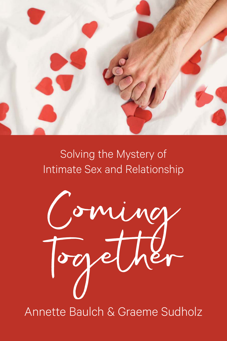

## Solving the Mystery of Intimate Sex and Relationship

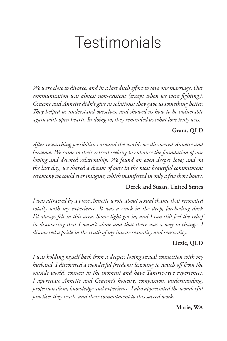## **Testimonials**

We were close to divorce, and in a last ditch effort to save our marriage. Our communication was almost non-existent (except when we were fighting). Graeme and Annette didn't give us solutions: they gave us something better. They helped us understand ourselves, and showed us how to be vulnerable again with open hearts. In doing so, they reminded us what love truly was.

#### Grant, QLD

After researching possibilities around the world, we discovered Annette and Graeme. We came to their retreat seeking to enhance the foundation of our loving and devoted relationship. We found an even deeper love; and on the last day, we shared a dream of ours in the most beautiful commitment ceremony we could ever imagine, which manifested in only a few short hours.

#### Derek and Susan, United States

I was attracted by a piece Annette wrote about sexual shame that resonated totally with my experience. It was a crack in the deep, foreboding dark I'd always felt in this area. Some light got in, and I can still feel the relief in discovering that I wasn't alone and that there was a way to change. I discovered a pride in the truth of my innate sexuality and sensuality.

#### Lizzie, QLD

I was holding myself back from a deeper, loving sexual connection with my husband. I discovered a wonderful freedom: learning to switch off from the outside world, connect in the moment and have Tantric-type experiences. I appreciate Annette and Graeme's honesty, compassion, understanding, professionalism, knowledge and experience. I also appreciated the wonderful practices they teach, and their commitment to this sacred work.

#### Marie, WA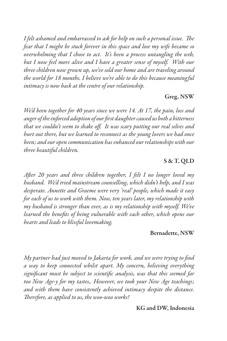I felt ashamed and embarrassed to ask for help on such a personal issue. The fear that I might be stuck forever in this space and lose my wife became so overwhelming that I chose to act. It's been a process untangling the web, but I now feel more alive and I have a greater sense of myself. With our three children now grown up, we've sold our home and are traveling around the world for 18 months. I believe we're able to do this because meaningful intimacy is now back at the centre of our relationship.

#### Greg, NSW

We'd been together for 40 years since we were 14. At 17, the pain, loss and anger of the enforced adoption of our first daughter caused us both a bitterness that we couldn't seem to shake off. It was scary putting our real selves and hurt out there, but we learned to reconnect as the young lovers we had once been; and our open communication has enhanced our relationships with our three beautiful children.

#### S & T, QLD

After 20 years and three children together, I felt I no longer loved my husband. We'd tried mainstream counselling, which didn't help, and I was desperate. Annette and Graeme were very 'real' people, which made it easy for each of us to work with them. Now, ten years later, my relationship with my husband is stronger than ever, as is my relationship with myself. We've learned the benefits of being vulnerable with each other, which opens our hearts and leads to blissful lovemaking.

#### Bernadette, NSW

My partner had just moved to Jakarta for work, and we were trying to find a way to keep connected whilst apart. My concern, believing everything significant must be subject to scientific analysis, was that this seemed far too New Age-y for my tastes,. However, we took your New Age teachings; and with them have consistently achieved intimacy despite the distance. Therefore, as applied to us, the woo-woo works!

#### KG and DW, Indonesia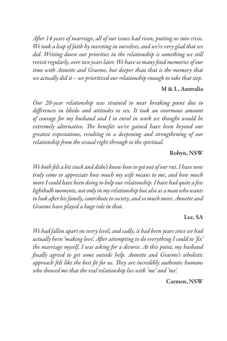After 14 years of marriage, all of our issues had risen, putting us into crisis. We took a leap of faith by investing in ourselves, and we're very glad that we did. Writing down our priorities in the relationship is something we still revisit regularly, over two years later. We have so many fond memories of our time with Annette and Graeme, but deeper than that is the memory that we actually did it  $-$  we prioritised our relationship enough to take that step.

#### M & L, Australia

Our 20-year relationship was strained to near breaking point due to differences in libido and attitudes to sex. It took an enormous amount of courage for my husband and I to enrol in work we thought would be extremely alternative. The benefits we've gained have been beyond our greatest expectations, resulting in a deepening and strengthening of our relationship from the sexual right through to the spiritual.

#### Robyn, NSW

We both felt a bit stuck and didn't know how to get out of our rut. I have now truly come to appreciate how much my wife means to me, and how much more I could have been doing to help our relationship. I have had quite a few lightbulb moments, not only in my relationship but also as a man who wants to look after his family, contribute to society, and so much more. Annette and Graeme have played a huge role in that.

#### Lee, SA

We had fallen apart on every level; and sadly, it had been years since we had actually been 'making love'. After attempting to do everything I could to 'fix' the marriage myself, I was asking for a divorce. At this point, my husband finally agreed to get some outside help. Annette and Graeme's wholistic approach felt like the best fit for us. They are incredibly authentic humans who showed me that the real relationship lies with 'me' and 'me'.

Carmen, NSW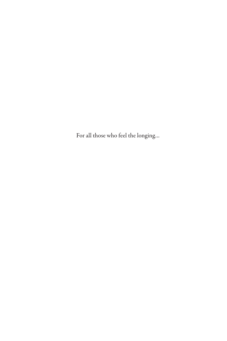For all those who feel the longing…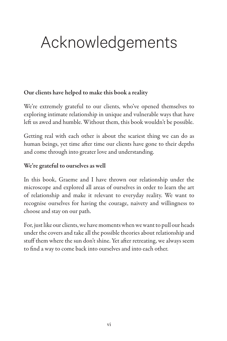## Acknowledgements

#### Our clients have helped to make this book a reality

We're extremely grateful to our clients, who've opened themselves to exploring intimate relationship in unique and vulnerable ways that have left us awed and humble. Without them, this book wouldn't be possible.

Getting real with each other is about the scariest thing we can do as human beings, yet time after time our clients have gone to their depths and come through into greater love and understanding.

#### We're grateful to ourselves as well

In this book, Graeme and I have thrown our relationship under the microscope and explored all areas of ourselves in order to learn the art of relationship and make it relevant to everyday reality. We want to recognise ourselves for having the courage, naivety and willingness to choose and stay on our path.

For, just like our clients, we have moments when we want to pull our heads under the covers and take all the possible theories about relationship and stuff them where the sun don't shine. Yet after retreating, we always seem to find a way to come back into ourselves and into each other.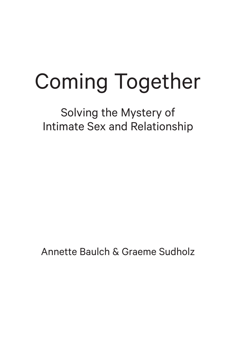# Coming Together

Solving the Mystery of Intimate Sex and Relationship

Annette Baulch & Graeme Sudholz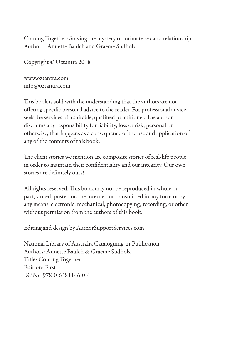Coming Together: Solving the mystery of intimate sex and relationship Author – Annette Baulch and Graeme Sudholz

Copyright © Oztantra 2018

www.oztantra.com info@oztantra.com

This book is sold with the understanding that the authors are not offering specific personal advice to the reader. For professional advice, seek the services of a suitable, qualified practitioner. The author disclaims any responsibility for liability, loss or risk, personal or otherwise, that happens as a consequence of the use and application of any of the contents of this book.

The client stories we mention are composite stories of real-life people in order to maintain their confidentiality and our integrity. Our own stories are definitely ours!

All rights reserved. This book may not be reproduced in whole or part, stored, posted on the internet, or transmitted in any form or by any means, electronic, mechanical, photocopying, recording, or other, without permission from the authors of this book.

Editing and design by AuthorSupportServices.com

National Library of Australia Cataloguing-in-Publication Authors: Annette Baulch & Graeme Sudholz Title: Coming Together Edition: First ISBN: 978-0-6481146-0-4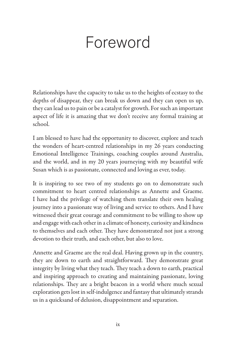## Foreword

Relationships have the capacity to take us to the heights of ecstasy to the depths of disappear, they can break us down and they can open us up, they can lead us to pain or be a catalyst for growth. For such an important aspect of life it is amazing that we don't receive any formal training at school.

I am blessed to have had the opportunity to discover, explore and teach the wonders of heart-centred relationships in my 26 years conducting Emotional Intelligence Trainings, coaching couples around Australia, and the world, and in my 20 years journeying with my beautiful wife Susan which is as passionate, connected and loving as ever, today.

It is inspiring to see two of my students go on to demonstrate such commitment to heart centred relationships as Annette and Graeme. I have had the privilege of watching them translate their own healing journey into a passionate way of living and service to others. And I have witnessed their great courage and commitment to be willing to show up and engage with each other in a climate of honesty, curiosity and kindness to themselves and each other. They have demonstrated not just a strong devotion to their truth, and each other, but also to love.

Annette and Graeme are the real deal. Having grown up in the country, they are down to earth and straightforward. They demonstrate great integrity by living what they teach. They teach a down to earth, practical and inspiring approach to creating and maintaining passionate, loving relationships. They are a bright beacon in a world where much sexual exploration gets lost in self-indulgence and fantasy that ultimately strands us in a quicksand of delusion, disappointment and separation.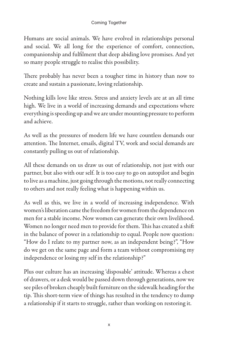Humans are social animals. We have evolved in relationships personal and social. We all long for the experience of comfort, connection, companionship and fulfilment that deep abiding love promises. And yet so many people struggle to realise this possibility.

There probably has never been a tougher time in history than now to create and sustain a passionate, loving relationship.

Nothing kills love like stress. Stress and anxiety levels are at an all time high. We live in a world of increasing demands and expectations where everything is speeding up and we are under mounting pressure to perform and achieve.

As well as the pressures of modern life we have countless demands our attention. The Internet, emails, digital TV, work and social demands are constantly pulling us out of relationship.

All these demands on us draw us out of relationship, not just with our partner, but also with our self. It is too easy to go on autopilot and begin to live as a machine, just going through the motions, not really connecting to others and not really feeling what is happening within us.

As well as this, we live in a world of increasing independence. With women's liberation came the freedom for women from the dependence on men for a stable income. Now women can generate their own livelihood. Women no longer need men to provide for them. This has created a shift in the balance of power in a relationship to equal. People now question: "How do I relate to my partner now, as an independent being?", "How do we get on the same page and form a team without compromising my independence or losing my self in the relationship?"

Plus our culture has an increasing 'disposable' attitude. Whereas a chest of drawers, or a desk would be passed down through generations, now we see piles of broken cheaply built furniture on the sidewalk heading for the tip. This short-term view of things has resulted in the tendency to dump a relationship if it starts to struggle, rather than working on restoring it.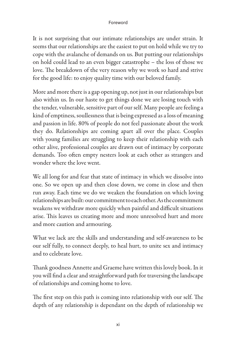#### Foreword

It is not surprising that our intimate relationships are under strain. It seems that our relationships are the easiest to put on hold while we try to cope with the avalanche of demands on us. But putting our relationships on hold could lead to an even bigger catastrophe – the loss of those we love. The breakdown of the very reason why we work so hard and strive for the good life: to enjoy quality time with our beloved family.

More and more there is a gap opening up, not just in our relationships but also within us. In our haste to get things done we are losing touch with the tender, vulnerable, sensitive part of our self. Many people are feeling a kind of emptiness, soullessness that is being expressed as a loss of meaning and passion in life. 80% of people do not feel passionate about the work they do. Relationships are coming apart all over the place. Couples with young families are struggling to keep their relationship with each other alive, professional couples are drawn out of intimacy by corporate demands. Too often empty nesters look at each other as strangers and wonder where the love went.

We all long for and fear that state of intimacy in which we dissolve into one. So we open up and then close down, we come in close and then run away. Each time we do we weaken the foundation on which loving relationships are built: our commitment to each other. As the commitment weakens we withdraw more quickly when painful and difficult situations arise. This leaves us creating more and more unresolved hurt and more and more caution and armouring.

What we lack are the skills and understanding and self-awareness to be our self fully, to connect deeply, to heal hurt, to unite sex and intimacy and to celebrate love.

Thank goodness Annette and Graeme have written this lovely book. In it you will find a clear and straightforward path for traversing the landscape of relationships and coming home to love.

The first step on this path is coming into relationship with our self. The depth of any relationship is dependant on the depth of relationship we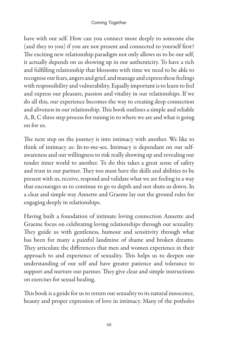have with our self. How can you connect more deeply to someone else (and they to you) if you are not present and connected to yourself first? The exciting new relationship paradigm not only allows us to be our self, it actually depends on us showing up in our authenticity. To have a rich and fulfilling relationship that blossoms with time we need to be able to recognise our fears, angers and grief, and manage and express these feelings with responsibility and vulnerability. Equally important is to learn to feel and express our pleasure, passion and vitality in our relationships. If we do all this, our experience becomes the way to creating deep connection and aliveness in our relationship. This book outlines a simple and reliable A, B, C three step process for tuning in to where we are and what is going on for us.

The next step on the journey is into intimacy with another. We like to think of intimacy as: In-to-me-see. Intimacy is dependant on our selfawareness and our willingness to risk really showing up and revealing our tender inner world to another. To do this takes a great sense of safety and trust in our partner. They too must have the skills and abilities to be present with us, receive, respond and validate what we are feeling in a way that encourages us to continue to go to depth and not shuts us down. In a clear and simple way Annette and Graeme lay out the ground rules for engaging deeply in relationships.

Having built a foundation of intimate loving connection Annette and Graeme focus on celebrating loving relationships through our sexuality. They guide us with gentleness, humour and sensitivity through what has been for many a painful landmine of shame and broken dreams. They articulate the differences that men and women experience in their approach to and experience of sexuality. This helps us to deepen our understanding of our self and have greater patience and tolerance to support and nurture our partner. They give clear and simple instructions on exercises for sexual healing.

This book is a guide for us to return our sexuality to its natural innocence, beauty and proper expression of love in intimacy. Many of the potholes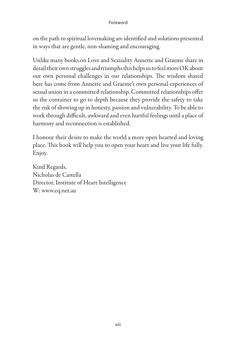#### Foreword

on the path to spiritual lovemaking are identified and solutions presented in ways that are gentle, non-shaming and encouraging.

Unlike many books on Love and Sexuality Annette and Graeme share in detail their own struggles and triumphs this helps us to feel more OK about our own personal challenges in our relationships. The wisdom shared here has come from Annette and Graeme's own personal experiences of sexual union in a committed relationship. Committed relationships offer us the container to go to depth because they provide the safety to take the risk of showing up in honesty, passion and vulnerability. To be able to work through difficult, awkward and even hurtful feelings until a place of harmony and reconnection is established.

I honour their desire to make the world a more open hearted and loving place. This book will help you to open your heart and live your life fully. Enjoy.

Kind Regards, Nicholas de Castella Director, Institute of Heart Intelligence W: www.eq.net.au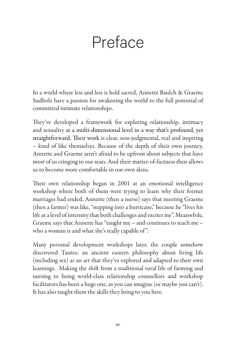## Preface

In a world where less and less is held sacred, Annette Baulch & Graeme Sudholz have a passion for awakening the world to the full potential of committed intimate relationships.

They've developed a framework for exploring relationship, intimacy and sexuality at a multi-dimensional level in a way that's profound, yet straightforward. Their work is clear, non-judgmental, real and inspiring – kind of like themselves. Because of the depth of their own journey, Annette and Graeme aren't afraid to be upfront about subjects that have most of us cringing in our seats. And their matter-of-factness then allows us to become more comfortable in our own skins.

Their own relationship began in 2001 at an emotional intelligence workshop where both of them were trying to learn why their former marriages had ended. Annette (then a nurse) says that meeting Graeme (then a farmer) was like, "stepping into a hurricane," because he "lives his life at a level of intensity that both challenges and excites me". Meanwhile, Graeme says that Annette has "taught me – and continues to teach me – who a woman is and what she's really capable of ".

Many personal development workshops later, the couple somehow discovered Tantra: an ancient eastern philosophy about living life (including sex) as an art that they've explored and adapted to their own learnings. Making the shift from a traditional rural life of farming and nursing to being world-class relationship counsellors and workshop facilitators has been a huge one, as you can imagine (or maybe you can't). It has also taught them the skills they bring to you here.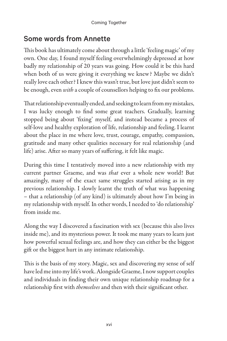#### Some words from Annette

This book has ultimately come about through a little 'feeling magic' of my own. One day, I found myself feeling overwhelmingly depressed at how badly my relationship of 20 years was going. How could it be this hard when both of us were giving it everything we knew? Maybe we didn't really love each other? I knew this wasn't true, but love just didn't seem to be enough, even *with* a couple of counsellors helping to fix our problems.

That relationship eventually ended, and seeking to learn from my mistakes, I was lucky enough to find some great teachers. Gradually, learning stopped being about 'fixing' myself, and instead became a process of self-love and healthy exploration of life, relationship and feeling. I learnt about the place in me where love, trust, courage, empathy, compassion, gratitude and many other qualities necessary for real relationship (and life) arise. After so many years of suffering, it felt like magic.

During this time I tentatively moved into a new relationship with my current partner Graeme, and was that ever a whole new world! But amazingly, many of the exact same struggles started arising as in my previous relationship. I slowly learnt the truth of what was happening – that a relationship (of any kind) is ultimately about how I'm being in my relationship with myself. In other words, I needed to 'do relationship' from inside me.

Along the way I discovered a fascination with sex (because this also lives inside me), and its mysterious power. It took me many years to learn just how powerful sexual feelings are, and how they can either be the biggest gift or the biggest hurt in any intimate relationship.

This is the basis of my story. Magic, sex and discovering my sense of self have led me into my life's work. Alongside Graeme, I now support couples and individuals in finding their own unique relationship roadmap for a relationship first with *themselves* and then with their significant other.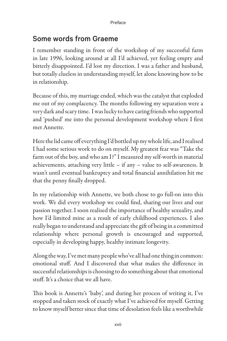#### Some words from Graeme

I remember standing in front of the workshop of my successful farm in late 1996, looking around at all I'd achieved, yet feeling empty and bitterly disappointed. I'd lost my direction. I was a father and husband, but totally clueless in understanding myself, let alone knowing how to be in relationship.

Because of this, my marriage ended, which was the catalyst that exploded me out of my complacency. The months following my separation were a very dark and scary time. I was lucky to have caring friends who supported and 'pushed' me into the personal development workshop where I first met Annette.

Here the lid came off everything I'd bottled up my whole life, and I realised I had some serious work to do on myself. My greatest fear was "Take the farm out of the boy, and who am I?" I measured my self-worth in material achievements, attaching very little – if any – value to self-awareness. It wasn't until eventual bankruptcy and total financial annihilation hit me that the penny finally dropped.

In my relationship with Annette, we both chose to go full-on into this work. We did every workshop we could find, sharing our lives and our passion together. I soon realised the importance of healthy sexuality, and how I'd limited mine as a result of early childhood experiences. I also really began to understand and appreciate the gift of being in a committed relationship where personal growth is encouraged and supported, especially in developing happy, healthy intimate longevity.

Along the way, I've met many people who've all had one thing in common: emotional stuff. And I discovered that what makes the difference in successful relationships is choosing to do something about that emotional stuff. It's a choice that we all have.

This book is Annette's 'baby', and during her process of writing it, I've stopped and taken stock of exactly what I've achieved for myself. Getting to know myself better since that time of desolation feels like a worthwhile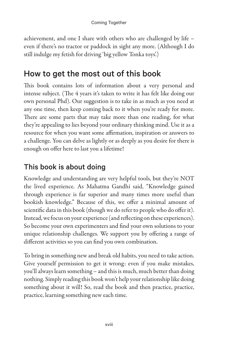achievement, and one I share with others who are challenged by life – even if there's no tractor or paddock in sight any more. (Although I do still indulge my fetish for driving 'big yellow Tonka toys'.)

## How to get the most out of this book

This book contains lots of information about a very personal and intense subject. (The 4 years it's taken to write it has felt like doing our own personal Phd). Our suggestion is to take in as much as you need at any one time, then keep coming back to it when you're ready for more. There are some parts that may take more than one reading, for what they're appealing to lies beyond your ordinary thinking mind. Use it as a resource for when you want some affirmation, inspiration or answers to a challenge. You can delve as lightly or as deeply as you desire for there is enough on offer here to last you a lifetime!

### This book is about doing

Knowledge and understanding are very helpful tools, but they're NOT the lived experience. As Mahatma Gandhi said, "Knowledge gained through experience is far superior and many times more useful than bookish knowledge." Because of this, we offer a minimal amount of scientific data in this book (though we do refer to people who do offer it). Instead, we focus on your experience (and reflecting on these experiences). So become your own experimenters and find your own solutions to your unique relationship challenges. We support you by offering a range of different activities so you can find you own combination.

To bring in something new and break old habits, you need to take action. Give yourself permission to get it wrong: even if you make mistakes, you'll always learn something – and this is much, much better than doing nothing. Simply reading this book won't help your relationship like doing something about it will! So, read the book and then practice, practice, practice, learning something new each time.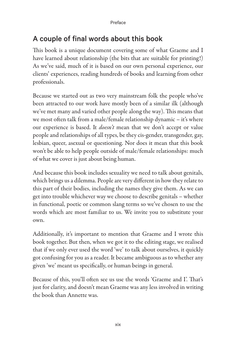## A couple of final words about this book

This book is a unique document covering some of what Graeme and I have learned about relationship (the bits that are suitable for printing!) As we've said, much of it is based on our own personal experience, our clients' experiences, reading hundreds of books and learning from other professionals.

Because we started out as two very mainstream folk the people who've been attracted to our work have mostly been of a similar ilk (although we've met many and varied other people along the way). This means that we most often talk from a male/female relationship dynamic – it's where our experience is based. It *doesn't* mean that we don't accept or value people and relationships of all types, be they cis-gender, transgender, gay, lesbian, queer, asexual or questioning. Nor does it mean that this book won't be able to help people outside of male/female relationships: much of what we cover is just about being human.

And because this book includes sexuality we need to talk about genitals, which brings us a dilemma. People are very different in how they relate to this part of their bodies, including the names they give them. As we can get into trouble whichever way we choose to describe genitals – whether in functional, poetic or common slang terms so we've chosen to use the words which are most familiar to us. We invite you to substitute your own.

Additionally, it's important to mention that Graeme and I wrote this book together. But then, when we got it to the editing stage, we realised that if we only ever used the word 'we' to talk about ourselves, it quickly got confusing for you as a reader. It became ambiguous as to whether any given 'we' meant us specifically, or human beings in general.

Because of this, you'll often see us use the words 'Graeme and I'. That's just for clarity, and doesn't mean Graeme was any less involved in writing the book than Annette was.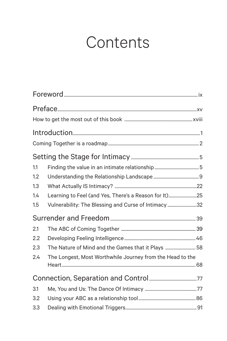## **Contents**

| 1.1 |                                                           |  |
|-----|-----------------------------------------------------------|--|
| 1.2 |                                                           |  |
| 1.3 |                                                           |  |
| 1.4 | Learning to Feel (and Yes, There's a Reason for It)25     |  |
| 1.5 | Vulnerability: The Blessing and Curse of Intimacy 32      |  |
|     |                                                           |  |
| 2.1 |                                                           |  |
| 2.2 |                                                           |  |
| 2.3 | The Nature of Mind and the Games that it Plays  58        |  |
| 2.4 | The Longest, Most Worthwhile Journey from the Head to the |  |
|     |                                                           |  |
|     |                                                           |  |
| 3.1 |                                                           |  |
| 3.2 |                                                           |  |
| 3.3 |                                                           |  |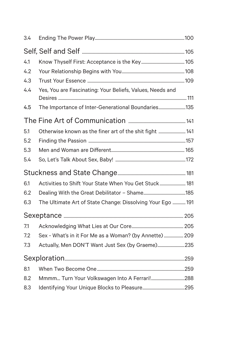| 3.4 |                                                            |  |
|-----|------------------------------------------------------------|--|
|     |                                                            |  |
| 4.1 |                                                            |  |
| 4.2 |                                                            |  |
| 4.3 |                                                            |  |
| 4.4 | Yes, You are Fascinating: Your Beliefs, Values, Needs and  |  |
| 4.5 | The Importance of Inter-Generational Boundaries135         |  |
|     |                                                            |  |
| 5.1 | Otherwise known as the finer art of the shit fight  141    |  |
| 5.2 |                                                            |  |
| 5.3 |                                                            |  |
| 5.4 |                                                            |  |
|     |                                                            |  |
| 6.1 | Activities to Shift Your State When You Get Stuck 181      |  |
| 6.2 |                                                            |  |
| 6.3 | The Ultimate Art of State Change: Dissolving Your Ego  191 |  |
|     |                                                            |  |
| 7.1 |                                                            |  |
| 7.2 | Sex - What's in it For Me as a Woman? (by Annette)  209    |  |
| 7.3 | Actually, Men DON'T Want Just Sex (by Graeme)235           |  |
|     |                                                            |  |
| 8.1 |                                                            |  |
| 8.2 | Mmmm Turn Your Volkswagen Into A Ferrari!288               |  |
| 8.3 |                                                            |  |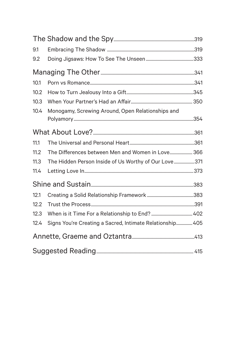| 9.1  |                                                           |  |
|------|-----------------------------------------------------------|--|
| 9.2  |                                                           |  |
|      |                                                           |  |
| 10.1 |                                                           |  |
| 10.2 |                                                           |  |
| 10.3 |                                                           |  |
| 10.4 | Monogamy, Screwing Around, Open Relationships and         |  |
|      |                                                           |  |
| 11.1 |                                                           |  |
| 11.2 | The Differences between Men and Women in Love 366         |  |
| 11.3 | The Hidden Person Inside of Us Worthy of Our Love371      |  |
| 11.4 |                                                           |  |
|      |                                                           |  |
| 12.1 |                                                           |  |
| 12.2 |                                                           |  |
| 12.3 |                                                           |  |
| 12.4 | Signs You're Creating a Sacred, Intimate Relationship 405 |  |
|      |                                                           |  |
|      |                                                           |  |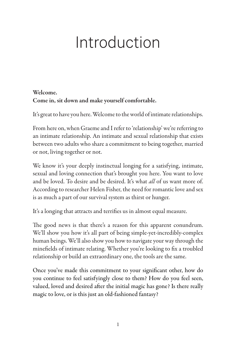## Introduction

#### Welcome. Come in, sit down and make yourself comfortable.

It's great to have you here. Welcome to the world of intimate relationships.

From here on, when Graeme and I refer to 'relationship' we're referring to an intimate relationship. An intimate and sexual relationship that exists between two adults who share a commitment to being together, married or not, living together or not.

We know it's your deeply instinctual longing for a satisfying, intimate, sexual and loving connection that's brought you here. You want to love and be loved. To desire and be desired. It's what *all* of us want more of. According to researcher Helen Fisher, the need for romantic love and sex is as much a part of our survival system as thirst or hunger.

It's a longing that attracts and terrifies us in almost equal measure.

The good news is that there's a reason for this apparent conundrum. We'll show you how it's all part of being simple-yet-incredibly-complex human beings. We'll also show you how to navigate your way through the minefields of intimate relating. Whether you're looking to fix a troubled relationship or build an extraordinary one, the tools are the same.

Once you've made this commitment to your significant other, how do you continue to feel satisfyingly close to them? How do you feel seen, valued, loved and desired after the initial magic has gone? Is there really magic to love, or is this just an old-fashioned fantasy?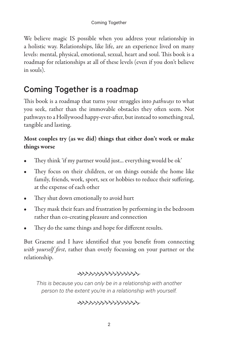We believe magic IS possible when you address your relationship in a holistic way. Relationships, like life, are an experience lived on many levels: mental, physical, emotional, sexual, heart and soul. This book is a roadmap for relationships at all of these levels (even if you don't believe in souls).

## Coming Together is a roadmap

This book is a roadmap that turns your struggles into *pathways* to what you seek, rather than the immovable obstacles they often seem. Not pathways to a Hollywood happy-ever-after, but instead to something real, tangible and lasting.

#### Most couples try (as we did) things that either don't work or make things worse

- They think 'if my partner would just... everything would be ok'
- They focus on their children, or on things outside the home like family, friends, work, sport, sex or hobbies to reduce their suffering, at the expense of each other
- They shut down emotionally to avoid hurt
- They mask their fears and frustration by performing in the bedroom rather than co-creating pleasure and connection
- They do the same things and hope for different results.

But Graeme and I have identified that you benefit from connecting with yourself first, rather than overly focussing on your partner or the relationship.

#### \*\*\*\*\*\*\*\*\*\*\*\*\*\*\*\*

*This is because you can only be in a relationship with another person to the extent you're in a relationship with yourself.*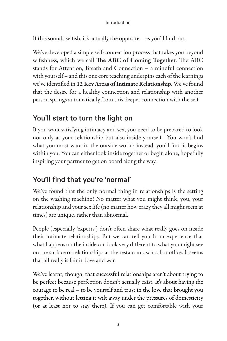#### Introduction

If this sounds selfish, it's actually the opposite – as you'll find out.

We've developed a simple self-connection process that takes you beyond selfishness, which we call The ABC of Coming Together. The ABC stands for Attention, Breath and Connection – a mindful connection with yourself – and this one core teaching underpins each of the learnings we've identified in 12 Key Areas of Intimate Relationship. We've found that the desire for a healthy connection and relationship with another person springs automatically from this deeper connection with the self.

### You'll start to turn the light on

If you want satisfying intimacy and sex, you need to be prepared to look not only at your relationship but also inside yourself. You won't find what you most want in the outside world; instead, you'll find it begins within you. You can either look inside together or begin alone, hopefully inspiring your partner to get on board along the way.

## You'll find that you're 'normal'

We've found that the only normal thing in relationships is the setting on the washing machine! No matter what you might think, you, your relationship and your sex life (no matter how crazy they all might seem at times) are unique, rather than abnormal.

People (especially 'experts') don't often share what really goes on inside their intimate relationships. But we can tell you from experience that what happens on the inside can look very different to what you might see on the surface of relationships at the restaurant, school or office. It seems that all really is fair in love and war.

We've learnt, though, that successful relationships aren't about trying to be perfect because perfection doesn't actually exist. It's about having the courage to be real – to be yourself and trust in the love that brought you together, without letting it wilt away under the pressures of domesticity (or at least not to stay there). If you can get comfortable with your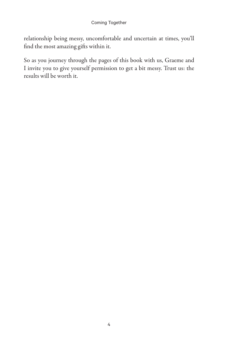relationship being messy, uncomfortable and uncertain at times, you'll find the most amazing gifts within it.

So as you journey through the pages of this book with us, Graeme and I invite you to give yourself permission to get a bit messy. Trust us: the results will be worth it.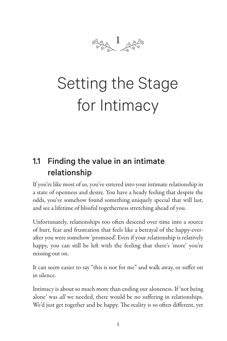

## Setting the Stage for Intimacy

## 1.1 Finding the value in an intimate relationship

If you're like most of us, you've entered into your intimate relationship in a state of openness and desire. You have a heady feeling that despite the odds, you've somehow found something uniquely special that will last, and see a lifetime of blissful togetherness stretching ahead of you.

Unfortunately, relationships too often descend over time into a source of hurt, fear and frustration that feels like a betrayal of the happy-everafter you were somehow 'promised'. Even if your relationship is relatively happy, you can still be left with the feeling that there's 'more' you're missing out on.

It can seem easier to say "this is not for me" and walk away, or suffer on in silence.

Intimacy is about so much more than ending our aloneness. If 'not being alone' was *all* we needed, there would be no suffering in relationships. We'd just get together and be happy. The reality is so often different, yet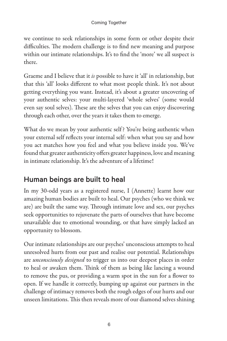we continue to seek relationships in some form or other despite their difficulties. The modern challenge is to find new meaning and purpose within our intimate relationships. It's to find the 'more' we all suspect is there.

Graeme and I believe that it is possible to have it 'all' in relationship, but that this 'all' looks different to what most people think. It's not about getting everything you want. Instead, it's about a greater uncovering of your authentic selves: your multi-layered 'whole selves' (some would even say soul selves). These are the selves that you can enjoy discovering through each other, over the years it takes them to emerge.

What do we mean by your authentic self? You're being authentic when your external self reflects your internal self: when what you say and how you act matches how you feel and what you believe inside you. We've found that greater authenticity offers greater happiness, love and meaning in intimate relationship. It's the adventure of a lifetime!

## Human beings are built to heal

In my 30-odd years as a registered nurse, I (Annette) learnt how our amazing human bodies are built to heal. Our psyches (who we think we are) are built the same way. Through intimate love and sex, our psyches seek opportunities to rejuvenate the parts of ourselves that have become unavailable due to emotional wounding, or that have simply lacked an opportunity to blossom.

Our intimate relationships are our psyches' unconscious attempts to heal unresolved hurts from our past and realise our potential. Relationships are *unconsciously designed* to trigger us into our deepest places in order to heal or awaken them. Think of them as being like lancing a wound to remove the pus, or providing a warm spot in the sun for a flower to open. If we handle it correctly, bumping up against our partners in the challenge of intimacy removes both the rough edges of our hurts and our unseen limitations. This then reveals more of our diamond selves shining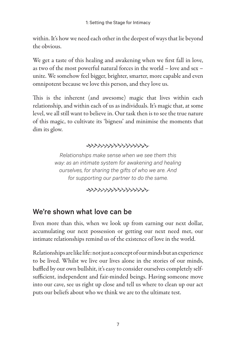within. It's how we need each other in the deepest of ways that lie beyond the obvious.

We get a taste of this healing and awakening when we first fall in love, as two of the most powerful natural forces in the world – love and sex – unite. We somehow feel bigger, brighter, smarter, more capable and even omnipotent because we love this person, and they love us.

This is the inherent (and awesome) magic that lives within each relationship, and within each of us as individuals. It's magic that, at some level, we all still want to believe in. Our task then is to see the true nature of this magic, to cultivate its 'bigness' and minimise the moments that dim its glow.

#### 

*Relationships make sense when we see them this way: as an intimate system for awakening and healing ourselves, for sharing the gifts of who we are. And for supporting our partner to do the same.*

## We're shown what love can be

Even more than this, when we look up from earning our next dollar, accumulating our next possession or getting our next need met, our intimate relationships remind us of the existence of love in the world.

Relationships are like life: not just a concept of our minds but an experience to be lived. Whilst we live our lives alone in the stories of our minds, baffled by our own bullshit, it's easy to consider ourselves completely selfsufficient, independent and fair-minded beings. Having someone move into our cave, see us right up close and tell us where to clean up our act puts our beliefs about who we think we are to the ultimate test.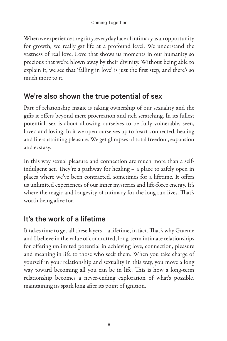When we experience the gritty, everyday face of intimacy as an opportunity for growth, we really get life at a profound level. We understand the vastness of real love. Love that shows us moments in our humanity so precious that we're blown away by their divinity. Without being able to explain it, we see that 'falling in love' is just the first step, and there's so much more to it.

#### We're also shown the true potential of sex

Part of relationship magic is taking ownership of our sexuality and the gifts it offers beyond mere procreation and itch scratching. In its fullest potential, sex is about allowing ourselves to be fully vulnerable, seen, loved and loving. In it we open ourselves up to heart-connected, healing and life-sustaining pleasure. We get glimpses of total freedom, expansion and ecstasy.

In this way sexual pleasure and connection are much more than a selfindulgent act. They're a pathway for healing – a place to safely open in places where we've been contracted, sometimes for a lifetime. It offers us unlimited experiences of our inner mysteries and life-force energy. It's where the magic and longevity of intimacy for the long run lives. That's worth being alive for.

## It's the work of a lifetime

It takes time to get all these layers – a lifetime, in fact. That's why Graeme and I believe in the value of committed, long-term intimate relationships for offering unlimited potential in achieving love, connection, pleasure and meaning in life to those who seek them. When you take charge of yourself in your relationship and sexuality in this way, you move a long way toward becoming all you can be in life. This is how a long-term relationship becomes a never-ending exploration of what's possible, maintaining its spark long after its point of ignition.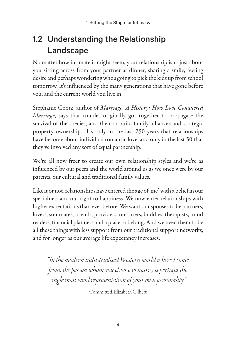## 1.2 Understanding the Relationship Landscape

No matter how intimate it might seem, your relationship isn't just about you sitting across from your partner at dinner, sharing a smile, feeling desire and perhaps wondering who's going to pick the kids up from school tomorrow. It's influenced by the many generations that have gone before you, and the current world you live in.

Stephanie Cootz, author of Marriage, A History: How Love Conquered Marriage, says that couples originally got together to propagate the survival of the species, and then to build family alliances and strategic property ownership. It's only in the last 250 years that relationships have become about individual romantic love, and only in the last 50 that they've involved any sort of equal partnership.

We're all now freer to create our own relationship styles and we're as influenced by our peers and the world around us as we once were by our parents, our cultural and traditional family values.

Like it or not, relationships have entered the age of 'me', with a belief in our specialness and our right to happiness. We now enter relationships with higher expectations than ever before. We want our spouses to be partners, lovers, soulmates, friends, providers, nurturers, buddies, therapists, mind readers, financial planners and a place to belong. And we need them to be all these things with less support from our traditional support networks, and for longer as our average life expectancy increases.

"In the modern industrialised Western world where I come from, the person whom you choose to marry is perhaps the single most vivid representation of your own personality"

Committed, Elizabeth Gilbert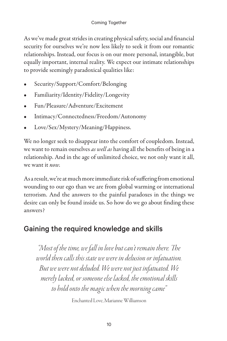As we've made great strides in creating physical safety, social and financial security for ourselves we're now less likely to seek it from our romantic relationships. Instead, our focus is on our more personal, intangible, but equally important, internal reality. We expect our intimate relationships to provide seemingly paradoxical qualities like:

- Security/Support/Comfort/Belonging
- Familiarity/Identity/Fidelity/Longevity
- Fun/Pleasure/Adventure/Excitement
- Intimacy/Connectedness/Freedom/Autonomy
- Love/Sex/Mystery/Meaning/Happiness.

We no longer seek to disappear into the comfort of coupledom. Instead, we want to remain ourselves as well as having all the benefits of being in a relationship. And in the age of unlimited choice, we not only want it all, we want it now.

As a result, we're at much more immediate risk of suffering from emotional wounding to our ego than we are from global warming or international terrorism. And the answers to the painful paradoxes in the things we desire can only be found inside us. So how do we go about finding these answers?

## Gaining the required knowledge and skills

"Most of the time, we fall in love but can't remain there. The world then calls this state we were in delusion or infatuation. But we were not deluded. We were not just infatuated. We merely lacked, or someone else lacked, the emotional skills to hold onto the magic when the morning came"

Enchanted Love, Marianne Williamson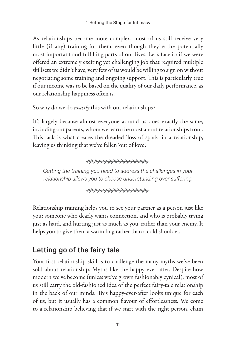As relationships become more complex, most of us still receive very little (if any) training for them, even though they're the potentially most important and fulfilling parts of our lives. Let's face it: if we were offered an extremely exciting yet challenging job that required multiple skillsets we didn't have, very few of us would be willing to sign on without negotiating some training and ongoing support. This is particularly true if our income was to be based on the quality of our daily performance, as our relationship happiness often is.

So why do we do exactly this with our relationships?

It's largely because almost everyone around us does exactly the same, including our parents, whom we learn the most about relationships from. This lack is what creates the dreaded 'loss of spark' in a relationship, leaving us thinking that we've fallen 'out of love'.

#### 

*Getting the training you need to address the challenges in your relationship allows you to choose understanding over suffering.*

Relationship training helps you to see your partner as a person just like you: someone who dearly wants connection, and who is probably trying just as hard, and hurting just as much as you, rather than your enemy. It helps you to give them a warm hug rather than a cold shoulder.

## Letting go of the fairy tale

Your first relationship skill is to challenge the many myths we've been sold about relationship. Myths like the happy ever after. Despite how modern we've become (unless we've grown fashionably cynical), most of us still carry the old-fashioned idea of the perfect fairy-tale relationship in the back of our minds. This happy-ever-after looks unique for each of us, but it usually has a common flavour of effortlessness. We come to a relationship believing that if we start with the right person, claim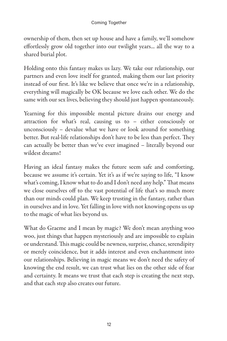ownership of them, then set up house and have a family, we'll somehow effortlessly grow old together into our twilight years... all the way to a shared burial plot.

Holding onto this fantasy makes us lazy. We take our relationship, our partners and even love itself for granted, making them our last priority instead of our first. It's like we believe that once we're in a relationship, everything will magically be OK because we love each other. We do the same with our sex lives, believing they should just happen spontaneously.

Yearning for this impossible mental picture drains our energy and attraction for what's real, causing us to – either consciously or unconsciously – devalue what we have or look around for something better. But real-life relationships don't have to be less than perfect. They can actually be better than we've ever imagined – literally beyond our wildest dreams!

Having an ideal fantasy makes the future seem safe and comforting, because we assume it's certain. Yet it's as if we're saying to life, "I know what's coming, I know what to do and I don't need any help." That means we close ourselves off to the vast potential of life that's so much more than our minds could plan. We keep trusting in the fantasy, rather than in ourselves and in love. Yet falling in love with not knowing opens us up to the magic of what lies beyond us.

What do Graeme and I mean by magic? We don't mean anything woo woo, just things that happen mysteriously and are impossible to explain or understand. This magic could be newness, surprise, chance, serendipity or merely coincidence, but it adds interest and even enchantment into our relationships. Believing in magic means we don't need the safety of knowing the end result, we can trust what lies on the other side of fear and certainty. It means we trust that each step is creating the next step, and that each step also creates our future.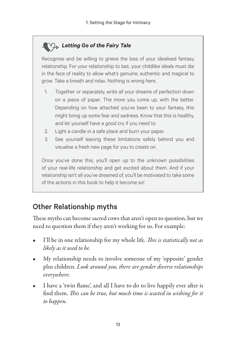#### *Letting Go of the Fairy Tale*

Recognise and be willing to grieve the loss of your idealised fantasy relationship. For your relationship to last, your childlike ideals must die in the face of reality to allow what's genuine, authentic and magical to grow. Take a breath and relax. Nothing is wrong here.

- 1. Together or separately, write all your dreams of perfection down on a piece of paper. The more you come up, with the better. Depending on how attached you've been to your fantasy, this might bring up some fear and sadness. Know that this is healthy, and let yourself have a good cry if you need to.
- 2. Light a candle in a safe place and burn your paper.
- 3. See yourself leaving these limitations safely behind you and visualise a fresh new page for you to create on.

Once you've done this, you'll open up to the unknown possibilities of your real-life relationship and get excited about them. And if your relationship isn't all you've dreamed of, you'll be motivated to take some of the actions in this book to help it become so!

### Other Relationship myths

These myths can become sacred cows that aren't open to question, but we need to question them if they aren't working for us. For example:

- I'll be in one relationship for my whole life. This is statistically not as likely as it used to be.
- My relationship needs to involve someone of my 'opposite' gender plus children. Look around you, there are gender diverse relationships everywhere.
- I have a 'twin flame', and all I have to do to live happily ever after is find them. This can be true, but much time is wasted in wishing for it to happen.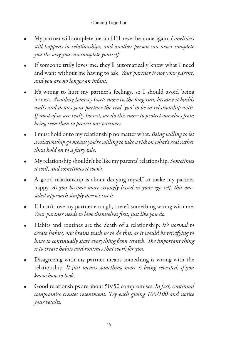- My partner will complete me, and I'll never be alone again. *Loneliness* still happens in relationships, and another person can never complete you the way you can complete yourself.
- If someone truly loves me, they'll automatically know what I need and want without me having to ask. Your partner is not your parent, and you are no longer an infant.
- It's wrong to hurt my partner's feelings, so I should avoid being honest. Avoiding honesty hurts more in the long run, because it builds walls and denies your partner the real 'you' to be in relationship with. If most of us are really honest, we do this more to protect ourselves from being seen than to protect our partners.
- I must hold onto my relationship no matter what. Being willing to let a relationship go means you're willing to take a risk on what's real rather than hold on to a fairy tale.
- My relationship shouldn't be like my parents' relationship. Sometimes it will, and sometimes it won't.
- A good relationship is about denying myself to make my partner happy. As you become more strongly based in your ego self, this onesided approach simply doesn't cut it.
- If I can't love my partner enough, there's something wrong with me. Your partner needs to love themselves first, just like you do.
- Habits and routines are the death of a relationship. It's normal to create habits, our brains teach us to do this, as it would be terrifying to have to continually start everything from scratch. The important thing is to create habits and routines that work for you.
- Disagreeing with my partner means something is wrong with the relationship. It just means something more is being revealed, if you know how to look.
- Good relationships are about 50/50 compromises. In fact, continual compromise creates resentment. Try each giving 100/100 and notice your results.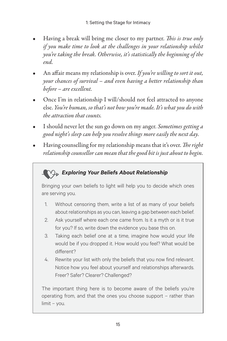- Having a break will bring me closer to my partner. This is true only if you make time to look at the challenges in your relationship whilst you're taking the break. Otherwise, it's statistically the beginning of the end.
- An affair means my relationship is over. If you're willing to sort it out, your chances of survival – and even having a better relationship than before – are excellent.
- Once I'm in relationship I will/should not feel attracted to anyone else. You're human, so that's not how you're made. It's what you do with the attraction that counts.
- I should never let the sun go down on my anger. Sometimes getting a good night's sleep can help you resolve things more easily the next day.
- Having counselling for my relationship means that it's over. The right relationship counsellor can mean that the good bit is just about to begin.

### *Exploring Your Beliefs About Relationship*

Bringing your own beliefs to light will help you to decide which ones are serving you.

- 1. Without censoring them, write a list of as many of your beliefs about relationships as you can, leaving a gap between each belief.
- 2. Ask yourself where each one came from. Is it a myth or is it true for you? If so, write down the evidence you base this on.
- 3. Taking each belief one at a time, imagine how would your life would be if you dropped it. How would you feel? What would be different?
- 4. Rewrite your list with only the beliefs that you now find relevant. Notice how you feel about yourself and relationships afterwards. Freer? Safer? Clearer? Challenged?

The important thing here is to become aware of the beliefs you're operating from, and that the ones you choose support – rather than limit – you.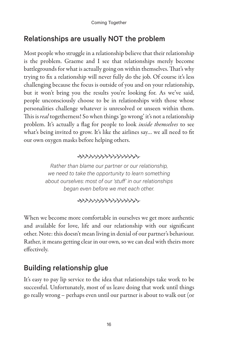### Relationships are usually NOT the problem

Most people who struggle in a relationship believe that their relationship is the problem. Graeme and I see that relationships merely become battlegrounds for what is actually going on within themselves. That's why trying to fix a relationship will never fully do the job. Of course it's less challenging because the focus is outside of you and on your relationship, but it won't bring you the results you're looking for. As we've said, people unconsciously choose to be in relationships with those whose personalities challenge whatever is unresolved or unseen within them. This is real togetherness! So when things 'go wrong' it's not a relationship problem. It's actually a flag for people to look *inside themselves* to see what's being invited to grow. It's like the airlines say… we all need to fit our own oxygen masks before helping others.

#### \*\*\*\*\*\*\*\*\*\*\*\*\*\*\*\*

*Rather than blame our partner or our relationship, we need to take the opportunity to learn something about ourselves: most of our 'stuff' in our relationships began even before we met each other.*

When we become more comfortable in ourselves we get more authentic and available for love, life and our relationship with our significant other. Note: this doesn't mean living in denial of our partner's behaviour. Rather, it means getting clear in our own, so we can deal with theirs more effectively.

### Building relationship glue

It's easy to pay lip service to the idea that relationships take work to be successful. Unfortunately, most of us leave doing that work until things go really wrong – perhaps even until our partner is about to walk out (or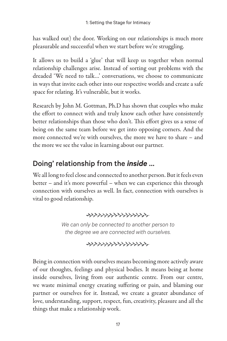has walked out) the door. Working on our relationships is much more pleasurable and successful when we start before we're struggling.

It allows us to build a 'glue' that will keep us together when normal relationship challenges arise. Instead of sorting out problems with the dreaded 'We need to talk…' conversations, we choose to communicate in ways that invite each other into our respective worlds and create a safe space for relating. It's vulnerable, but it works.

Research by John M. Gottman, Ph.D has shown that couples who make the effort to connect with and truly know each other have consistently better relationships than those who don't. This effort gives us a sense of being on the same team before we get into opposing corners. And the more connected we're with ourselves, the more we have to share – and the more we see the value in learning about our partner.

## Doing' relationship from the *inside* …

We all long to feel close and connected to another person. But it feels even better – and it's more powerful – when we can experience this through connection with ourselves as well. In fact, connection with ourselves is vital to good relationship.



*We can only be connected to another person to the degree we are connected with ourselves.*



Being in connection with ourselves means becoming more actively aware of our thoughts, feelings and physical bodies. It means being at home inside ourselves, living from our authentic centre. From our centre, we waste minimal energy creating suffering or pain, and blaming our partner or ourselves for it. Instead, we create a greater abundance of love, understanding, support, respect, fun, creativity, pleasure and all the things that make a relationship work.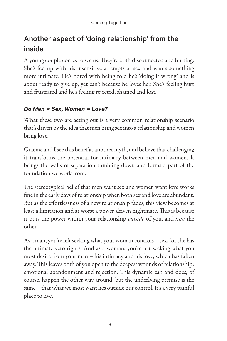## Another aspect of 'doing relationship' from the inside

A young couple comes to see us. They're both disconnected and hurting. She's fed up with his insensitive attempts at sex and wants something more intimate. He's bored with being told he's 'doing it wrong' and is about ready to give up, yet can't because he loves her. She's feeling hurt and frustrated and he's feeling rejected, shamed and lost.

#### *Do Men = Sex, Women = Love?*

What these two are acting out is a very common relationship scenario that's driven by the idea that men bring sex into a relationship and women bring love.

Graeme and I see this belief as another myth, and believe that challenging it transforms the potential for intimacy between men and women. It brings the walls of separation tumbling down and forms a part of the foundation we work from.

The stereotypical belief that men want sex and women want love works fine in the early days of relationship when both sex and love are abundant. But as the effortlessness of a new relationship fades, this view becomes at least a limitation and at worst a power-driven nightmare. This is because it puts the power within your relationship *outside* of you, and *into* the other.

As a man, you're left seeking what your woman controls – sex, for she has the ultimate veto rights. And as a woman, you're left seeking what you most desire from your man – his intimacy and his love, which has fallen away. This leaves both of you open to the deepest wounds of relationship: emotional abandonment and rejection. This dynamic can and does, of course, happen the other way around, but the underlying premise is the same – that what we most want lies outside our control. It's a very painful place to live.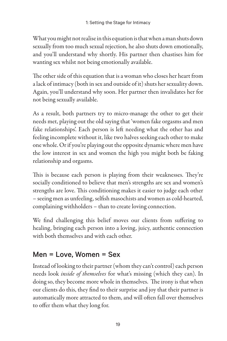What you might not realise in this equation is that when a man shuts down sexually from too much sexual rejection, he also shuts down emotionally, and you'll understand why shortly. His partner then chastises him for wanting sex whilst not being emotionally available.

The other side of this equation that is a woman who closes her heart from a lack of intimacy (both in sex and outside of it) shuts her sexuality down. Again, you'll understand why soon. Her partner then invalidates her for not being sexually available.

As a result, both partners try to micro-manage the other to get their needs met, playing out the old saying that 'women fake orgasms and men fake relationships'. Each person is left needing what the other has and feeling incomplete without it, like two halves seeking each other to make one whole. Or if you're playing out the opposite dynamic where men have the low interest in sex and women the high you might both be faking relationship and orgasms.

This is because each person is playing from their weaknesses. They're socially conditioned to believe that men's strengths are sex and women's strengths are love. This conditioning makes it easier to judge each other – seeing men as unfeeling, selfish masochists and women as cold-hearted, complaining withholders – than to create loving connection.

We find challenging this belief moves our clients from suffering to healing, bringing each person into a loving, juicy, authentic connection with both themselves and with each other.

## Men = Love, Women = Sex

Instead of looking to their partner (whom they can't control) each person needs look *inside of themselves* for what's missing (which they can). In doing so, they become more whole in themselves. The irony is that when our clients do this, they find to their surprise and joy that their partner is automatically more attracted to them, and will often fall over themselves to offer them what they long for.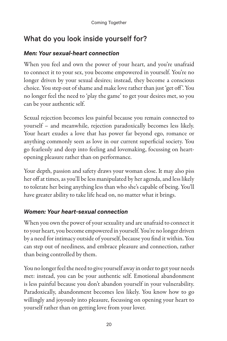## What do you look inside yourself for?

#### *Men: Your sexual-heart connection*

When you feel and own the power of your heart, and you're unafraid to connect it to your sex, you become empowered in yourself. You're no longer driven by your sexual desires; instead, they become a conscious choice. You step out of shame and make love rather than just 'get off '. You no longer feel the need to 'play the game' to get your desires met, so you can be your authentic self.

Sexual rejection becomes less painful because you remain connected to yourself – and meanwhile, rejection paradoxically becomes less likely. Your heart exudes a love that has power far beyond ego, romance or anything commonly seen as love in our current superficial society. You go fearlessly and deep into feeling and lovemaking, focussing on heartopening pleasure rather than on performance.

Your depth, passion and safety draws your woman close. It may also piss her off at times, as you'll be less manipulated by her agenda, and less likely to tolerate her being anything less than who she's capable of being. You'll have greater ability to take life head on, no matter what it brings.

#### *Women: Your heart-sexual connection*

When you own the power of your sexuality and are unafraid to connect it to your heart, you become empowered in yourself. You're no longer driven by a need for intimacy outside of yourself, because you find it within. You can step out of neediness, and embrace pleasure and connection, rather than being controlled by them.

You no longer feel the need to give yourself away in order to get your needs met: instead, you can be your authentic self. Emotional abandonment is less painful because you don't abandon yourself in your vulnerability. Paradoxically, abandonment becomes less likely. You know how to go willingly and joyously into pleasure, focussing on opening your heart to yourself rather than on getting love from your lover.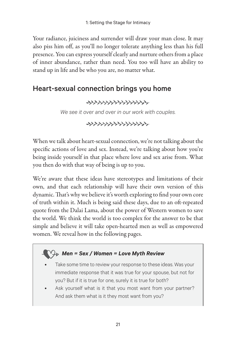Your radiance, juiciness and surrender will draw your man close. It may also piss him off, as you'll no longer tolerate anything less than his full presence. You can express yourself clearly and nurture others from a place of inner abundance, rather than need. You too will have an ability to stand up in life and be who you are, no matter what.

### Heart-sexual connection brings you home

*We see it over and over in our work with couples.*

\*\*\*\*\*\*\*\*\*\*\*\*\*\*\*\*\*\*\*\*\*\*

When we talk about heart-sexual connection, we're not talking about the specific actions of love and sex. Instead, we're talking about how you're being inside yourself in that place where love and sex arise from. What you then do with that way of being is up to you.

We're aware that these ideas have stereotypes and limitations of their own, and that each relationship will have their own version of this dynamic. That's why we believe it's worth exploring to find your own core of truth within it. Much is being said these days, due to an oft-repeated quote from the Dalai Lama, about the power of Western women to save the world. We think the world is too complex for the answer to be that simple and believe it will take open-hearted men as well as empowered women. We reveal how in the following pages.

#### *Men = Sex / Women = Love Myth Review*

- Take some time to review your response to these ideas. Was your immediate response that it was true for your spouse, but not for you? But if it is true for one, surely it is true for both?
- Ask yourself what is it that you most want from your partner? And ask them what is it they most want from you?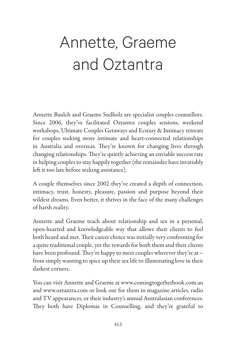## Annette, Graeme and Oztantra

Annette Baulch and Graeme Sudholz are specialist couples counsellors. Since 2006, they've facilitated Oztantra couples sessions, weekend workshops, Ultimate Couples Getaways and Ecstasy & Intimacy retreats for couples seeking more intimate and heart-connected relationships in Australia and overseas. They're known for changing lives through changing relationships. They're quietly achieving an enviable success rate in helping couples to stay happily together (the remainder have invariably left it too late before seeking assistance).

A couple themselves since 2002 they've created a depth of connection, intimacy, trust, honesty, pleasure, passion and purpose beyond their wildest dreams. Even better, it thrives in the face of the many challenges of harsh reality.

Annette and Graeme teach about relationship and sex in a personal, open-hearted and knowledgeable way that allows their clients to feel both heard and met. Their career choice was initially very confronting for a quite traditional couple, yet the rewards for both them and their clients have been profound. They're happy to meet couples wherever they're at – from simply wanting to spice up their sex life to illuminating love in their darkest corners.

You can visit Annette and Graeme at www.comingtogetherbook.com.au and www.oztantra.com or look out for them in magazine articles, radio and TV appearances, or their industry's annual Australasian conferences. They both have Diplomas in Counselling, and they're grateful to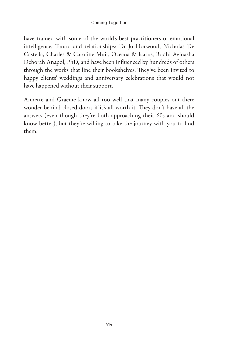have trained with some of the world's best practitioners of emotional intelligence, Tantra and relationships: Dr Jo Horwood, Nicholas De Castella, Charles & Caroline Muir, Oceana & Icarus, Bodhi Avinasha Deborah Anapol, PhD, and have been influenced by hundreds of others through the works that line their bookshelves. They've been invited to happy clients' weddings and anniversary celebrations that would not have happened without their support.

Annette and Graeme know all too well that many couples out there wonder behind closed doors if it's all worth it. They don't have all the answers (even though they're both approaching their 60s and should know better), but they're willing to take the journey with you to find them.